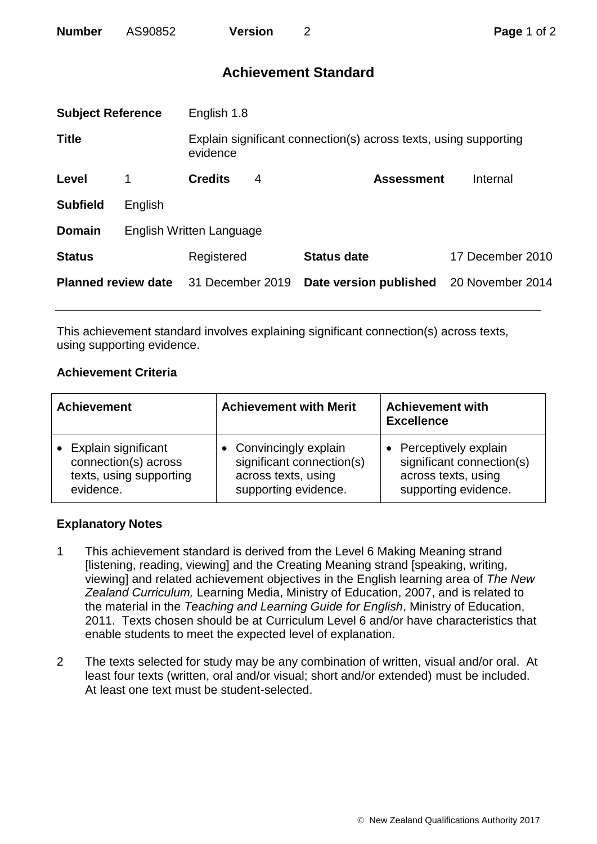| <b>Number</b> | AS90852 | <b>Version</b> |
|---------------|---------|----------------|
|---------------|---------|----------------|

## **Achievement Standard**

| <b>Subject Reference</b>   |                          | English 1.8                                                                  |   |                        |                  |
|----------------------------|--------------------------|------------------------------------------------------------------------------|---|------------------------|------------------|
| <b>Title</b>               |                          | Explain significant connection(s) across texts, using supporting<br>evidence |   |                        |                  |
| Level                      | 1                        | <b>Credits</b>                                                               | 4 | <b>Assessment</b>      | Internal         |
| <b>Subfield</b>            | English                  |                                                                              |   |                        |                  |
| <b>Domain</b>              | English Written Language |                                                                              |   |                        |                  |
| <b>Status</b>              |                          | Registered                                                                   |   | <b>Status date</b>     | 17 December 2010 |
| <b>Planned review date</b> |                          | 31 December 2019                                                             |   | Date version published | 20 November 2014 |
|                            |                          |                                                                              |   |                        |                  |

This achievement standard involves explaining significant connection(s) across texts, using supporting evidence.

## **Achievement Criteria**

| <b>Achievement</b>      | <b>Achievement with Merit</b> | <b>Achievement with</b><br><b>Excellence</b> |  |
|-------------------------|-------------------------------|----------------------------------------------|--|
| Explain significant     | • Convincingly explain        | Perceptively explain                         |  |
| connection(s) across    | significant connection(s)     | significant connection(s)                    |  |
| texts, using supporting | across texts, using           | across texts, using                          |  |
| evidence.               | supporting evidence.          | supporting evidence.                         |  |

## **Explanatory Notes**

- 1 This achievement standard is derived from the Level 6 Making Meaning strand [listening, reading, viewing] and the Creating Meaning strand [speaking, writing, viewing] and related achievement objectives in the English learning area of *The New Zealand Curriculum,* Learning Media, Ministry of Education, 2007, and is related to the material in the *Teaching and Learning Guide for English*, Ministry of Education, 2011. Texts chosen should be at Curriculum Level 6 and/or have characteristics that enable students to meet the expected level of explanation.
- 2 The texts selected for study may be any combination of written, visual and/or oral. At least four texts (written, oral and/or visual; short and/or extended) must be included. At least one text must be student-selected.